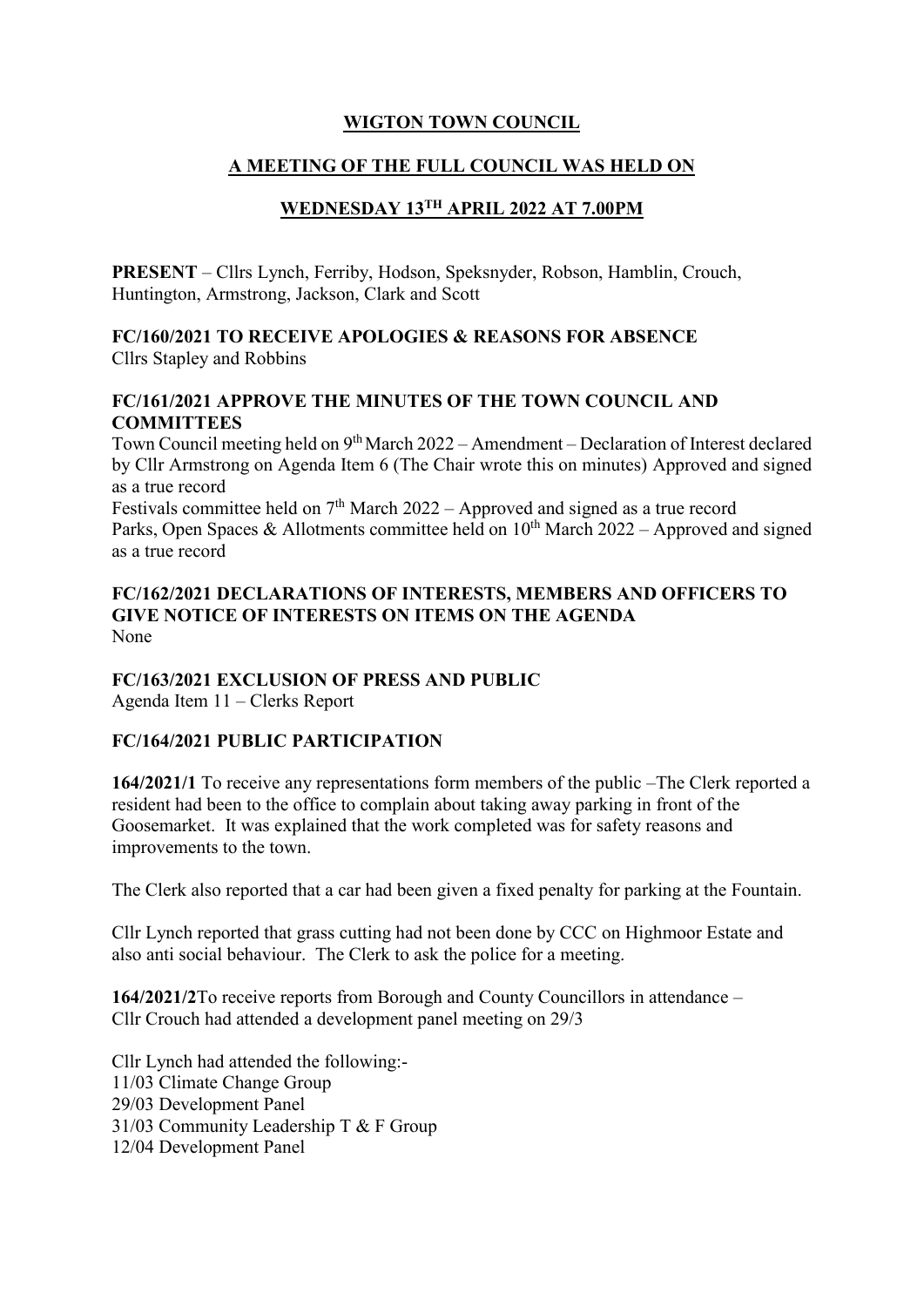# **WIGTON TOWN COUNCIL**

# **A MEETING OF THE FULL COUNCIL WAS HELD ON**

# **WEDNESDAY 13TH APRIL 2022 AT 7.00PM**

**PRESENT** – Cllrs Lynch, Ferriby, Hodson, Speksnyder, Robson, Hamblin, Crouch, Huntington, Armstrong, Jackson, Clark and Scott

# **FC/160/2021 TO RECEIVE APOLOGIES & REASONS FOR ABSENCE** Cllrs Stapley and Robbins

# **FC/161/2021 APPROVE THE MINUTES OF THE TOWN COUNCIL AND COMMITTEES**

Town Council meeting held on 9<sup>th</sup> March 2022 - Amendment - Declaration of Interest declared by Cllr Armstrong on Agenda Item 6 (The Chair wrote this on minutes) Approved and signed as a true record

Festivals committee held on  $7<sup>th</sup>$  March 2022 – Approved and signed as a true record Parks, Open Spaces & Allotments committee held on  $10^{th}$  March 2022 – Approved and signed as a true record

**FC/162/2021 DECLARATIONS OF INTERESTS, MEMBERS AND OFFICERS TO GIVE NOTICE OF INTERESTS ON ITEMS ON THE AGENDA**  None

# **FC/163/2021 EXCLUSION OF PRESS AND PUBLIC**

Agenda Item 11 – Clerks Report

## **FC/164/2021 PUBLIC PARTICIPATION**

**164/2021/1** To receive any representations form members of the public –The Clerk reported a resident had been to the office to complain about taking away parking in front of the Goosemarket. It was explained that the work completed was for safety reasons and improvements to the town.

The Clerk also reported that a car had been given a fixed penalty for parking at the Fountain.

Cllr Lynch reported that grass cutting had not been done by CCC on Highmoor Estate and also anti social behaviour. The Clerk to ask the police for a meeting.

**164/2021/2**To receive reports from Borough and County Councillors in attendance – Cllr Crouch had attended a development panel meeting on 29/3

Cllr Lynch had attended the following:- 11/03 Climate Change Group 29/03 Development Panel 31/03 Community Leadership T & F Group 12/04 Development Panel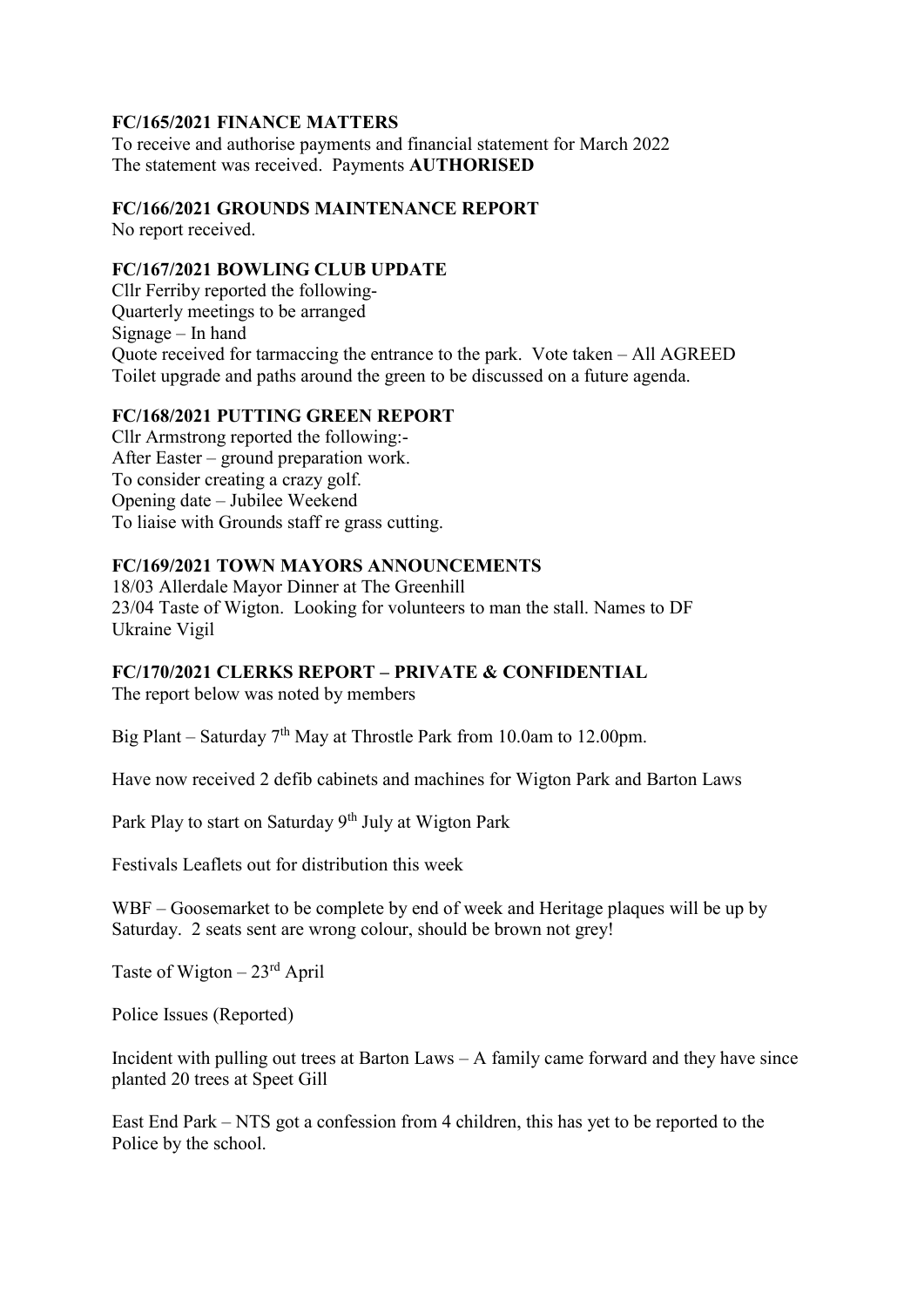## **FC/165/2021 FINANCE MATTERS**

To receive and authorise payments and financial statement for March 2022 The statement was received. Payments **AUTHORISED**

#### **FC/166/2021 GROUNDS MAINTENANCE REPORT**

No report received.

#### **FC/167/2021 BOWLING CLUB UPDATE**

Cllr Ferriby reported the following-Quarterly meetings to be arranged Signage – In hand Quote received for tarmaccing the entrance to the park. Vote taken – All AGREED Toilet upgrade and paths around the green to be discussed on a future agenda.

#### **FC/168/2021 PUTTING GREEN REPORT**

Cllr Armstrong reported the following:- After Easter – ground preparation work. To consider creating a crazy golf. Opening date – Jubilee Weekend To liaise with Grounds staff re grass cutting.

## **FC/169/2021 TOWN MAYORS ANNOUNCEMENTS**

18/03 Allerdale Mayor Dinner at The Greenhill 23/04 Taste of Wigton. Looking for volunteers to man the stall. Names to DF Ukraine Vigil

#### **FC/170/2021 CLERKS REPORT – PRIVATE & CONFIDENTIAL**

The report below was noted by members

Big Plant – Saturday  $7<sup>th</sup>$  May at Throstle Park from 10.0am to 12.00pm.

Have now received 2 defib cabinets and machines for Wigton Park and Barton Laws

Park Play to start on Saturday 9<sup>th</sup> July at Wigton Park

Festivals Leaflets out for distribution this week

WBF – Goosemarket to be complete by end of week and Heritage plaques will be up by Saturday. 2 seats sent are wrong colour, should be brown not grey!

Taste of Wigton  $-23$ <sup>rd</sup> April

Police Issues (Reported)

Incident with pulling out trees at Barton Laws – A family came forward and they have since planted 20 trees at Speet Gill

East End Park – NTS got a confession from 4 children, this has yet to be reported to the Police by the school.